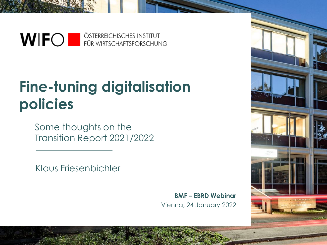

## **Fine-tuning digitalisation policies**

Some thoughts on the Transition Report 2021/2022

Klaus Friesenbichler

Vienna, 24 January 2022 **BMF – EBRD Webinar**

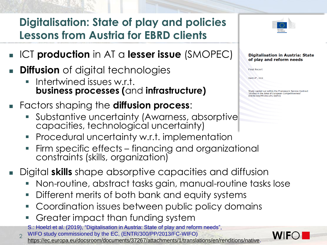## **Digitalisation: State of play and policies Lessons from Austria for EBRD clients**

- <sup>◼</sup> ICT **production** in AT a **lesser issue** (SMOPEC)
- **Diffusion** of digital technologies
	- Intertwined issues w.r.t. **business processes (**and **infrastructure)**
- <sup>◼</sup> Factors shaping the **diffusion process**:
	- Substantive uncertainty (Awarness, absorptive capacities, technological uncertainty)
	- Procedural uncertainty w.r.t. implementation
	- Firm specific effects financing and organizational constraints (skills, organization)
- <sup>◼</sup> Digital **skills** shape absorptive capacities and diffusion
	- Non-routine, abstract tasks gain, manual-routine tasks lose
	- Different merits of both bank and equity systems
	- Coordination issues between public policy domains
	- Greater impact than funding system

S.: Hoelzl et al. (2019), "Digitalisation in Austria: State of play and reform needs",

2 WIFO study commissioned by the EC, (ENTR/300/PP/2013/FC-WIFO) [https://ec.europa.eu/docsroom/documents/37267/attachments/1/translations/en/renditions/native.](https://ec.europa.eu/docsroom/documents/37267/attachments/1/translations/en/renditions/native)



#### **Digitalisation in Austria: State** of play and reform needs

**Final Report** 

March 4<sup>th</sup> . 2019

tudy carried out within the Framework Service Contract Studies in the Area of European Competitiveness ENTR/300/PP/2013/FC-WIFO

**WII**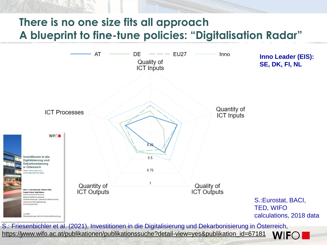## **There is no one size fits all approach A blueprint to fine-tune policies: "Digitalisation Radar"**

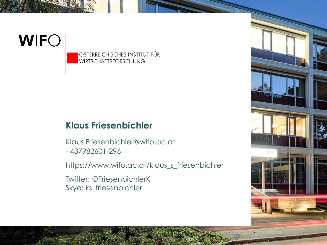# **WIFO**

ÖSTERREICHISCHES INSTITUT FÜR **WIRTSCHAFTSFORSCHUNG** 

## **Klaus Friesenbichler**

+437982601-296 Klaus.Friesenbichler@wifo.ac.at

https://www.wifo.ac.at/klaus\_s\_friesenbichler

Twitter: @FriesenbichlerK Skye: ks\_friesenbichler